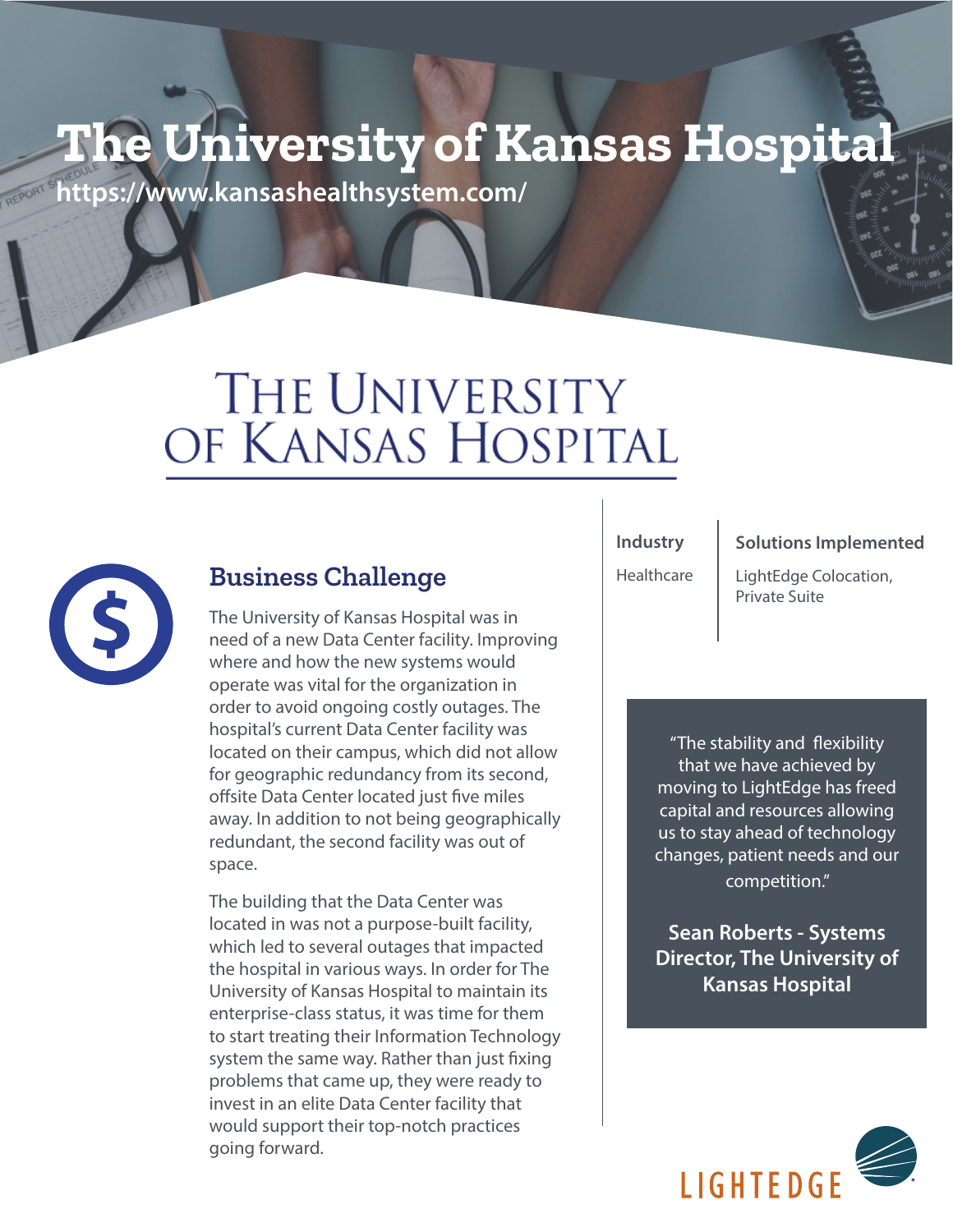## **The University of Kansas Hospital**

**https://www.kansashealthsystem.com/**

# THE UNIVERSITY OF KANSAS HOSPITAL



## **Business Challenge** Healthcare EightEdge Constrained Business Challenge

The University of Kansas Hospital was in need of a new Data Center facility. Improving where and how the new systems would operate was vital for the organization in order to avoid ongoing costly outages. The hospital's current Data Center facility was located on their campus, which did not allow for geographic redundancy from its second, offsite Data Center located just five miles away. In addition to not being geographically redundant, the second facility was out of space.

The building that the Data Center was located in was not a purpose-built facility, which led to several outages that impacted the hospital in various ways. In order for The University of Kansas Hospital to maintain its enterprise-class status, it was time for them to start treating their Information Technology system the same way. Rather than just fixing problems that came up, they were ready to invest in an elite Data Center facility that would support their top-notch practices going forward.

**Industry** 

**Healthcare** 

#### **Solutions Implemented**

LightEdge Colocation,

"The stability and flexibility that we have achieved by moving to LightEdge has freed capital and resources allowing us to stay ahead of technology changes, patient needs and our competition."

**Sean Roberts - Systems Director, The University of Kansas Hospital**